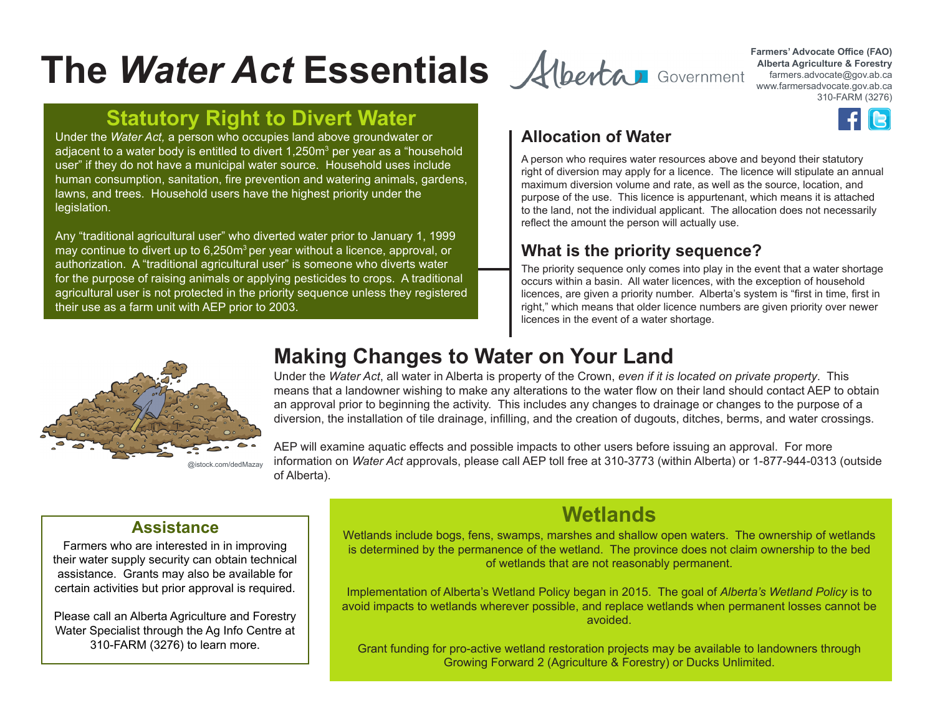# **The Water Act Essentials** Alberta **Mater** Scribe (FAO)

# **Statutory Right to Divert Water**

Under the *Water Act*, a person who occupies land above groundwater or **Allocation of Water** adjacent to a water body is entitled to divert 1,250m<sup>3</sup> per year as a "household user" if they do not have a municipal water source. Household uses include human consumption, sanitation, fire prevention and watering animals, gardens, lawns, and trees. Household users have the highest priority under the legislation.

Any "traditional agricultural user" who diverted water prior to January 1, 1999 may continue to divert up to 6,250m<sup>3</sup> per year without a licence, approval, or authorization. A "traditional agricultural user" is someone who diverts water for the purpose of raising animals or applying pesticides to crops. A traditional agricultural user is not protected in the priority sequence unless they registered their use as a farm unit with AEP prior to 2003.



**Alberta Agriculture & Forestry** farmers.advocate@gov.ab.ca www.farmersadvocate.gov.ab.ca 310-FARM (3276)



A person who requires water resources above and beyond their statutory right of diversion may apply for a licence. The licence will stipulate an annual maximum diversion volume and rate, as well as the source, location, and purpose of the use. This licence is appurtenant, which means it is attached to the land, not the individual applicant. The allocation does not necessarily reflect the amount the person will actually use.

### **What is the priority sequence?**

The priority sequence only comes into play in the event that a water shortage occurs within a basin. All water licences, with the exception of household licences, are given a priority number. Alberta's system is "first in time, first in right," which means that older licence numbers are given priority over newer licences in the event of a water shortage.



@istock.com/dedMazay

# **Making Changes to Water on Your Land**

Under the *Water Act*, all water in Alberta is property of the Crown, *even if it is located on private property*. This means that a landowner wishing to make any alterations to the water flow on their land should contact AEP to obtain an approval prior to beginning the activity. This includes any changes to drainage or changes to the purpose of a diversion, the installation of tile drainage, infilling, and the creation of dugouts, ditches, berms, and water crossings.

AEP will examine aquatic effects and possible impacts to other users before issuing an approval. For more information on *Water Act* approvals, please call AEP toll free at 310-3773 (within Alberta) or 1-877-944-0313 (outside of Alberta).

#### **Assistance**

Farmers who are interested in in improving their water supply security can obtain technical assistance. Grants may also be available for certain activities but prior approval is required.

Please call an Alberta Agriculture and Forestry Water Specialist through the Ag Info Centre at 310-FARM (3276) to learn more.

# **Wetlands**

Wetlands include bogs, fens, swamps, marshes and shallow open waters. The ownership of wetlands is determined by the permanence of the wetland. The province does not claim ownership to the bed of wetlands that are not reasonably permanent.

Implementation of Alberta's Wetland Policy began in 2015. The goal of *Alberta's Wetland Policy* is to avoid impacts to wetlands wherever possible, and replace wetlands when permanent losses cannot be avoided.

Grant funding for pro-active wetland restoration projects may be available to landowners through Growing Forward 2 (Agriculture & Forestry) or Ducks Unlimited.